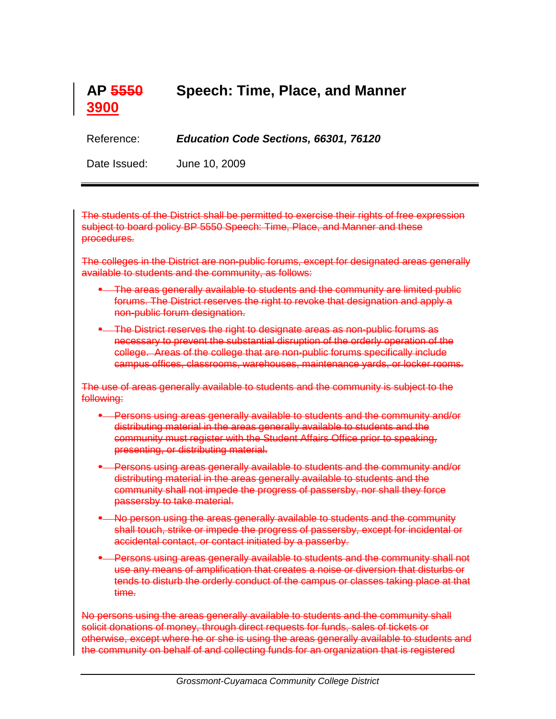

Reference: *Education Code Sections, 66301, 76120*

Date Issued: June 10, 2009

The students of the District shall be permitted to exercise their rights of free expression subject to board policy BP 5550 Speech: Time, Place, and Manner and these procedures.

The colleges in the District are non-public forums, except for designated areas generally available to students and the community, as follows:

- **The areas generally available to students and the community are limited public** forums. The District reserves the right to revoke that designation and apply a non-public forum designation.
- The District reserves the right to designate areas as non-public forums as necessary to prevent the substantial disruption of the orderly operation of the college. Areas of the college that are non-public forums specifically include campus offices, classrooms, warehouses, maintenance yards, or locker rooms.

The use of areas generally available to students and the community is subject to the following:

- Persons using areas generally available to students and the community and/or distributing material in the areas generally available to students and the community must register with the Student Affairs Office prior to speaking, presenting, or distributing material.
- **-** Persons using areas generally available to students and the community and/or distributing material in the areas generally available to students and the community shall not impede the progress of passersby, nor shall they force passersby to take material.
- No person using the areas generally available to students and the community shall touch, strike or impede the progress of passersby, except for incidental or accidental contact, or contact initiated by a passerby.
- **-** Persons using areas generally available to students and the community shall not use any means of amplification that creates a noise or diversion that disturbs or tends to disturb the orderly conduct of the campus or classes taking place at that time.

No persons using the areas generally available to students and the community shall solicit donations of money, through direct requests for funds, sales of tickets or otherwise, except where he or she is using the areas generally available to students and the community on behalf of and collecting funds for an organization that is registered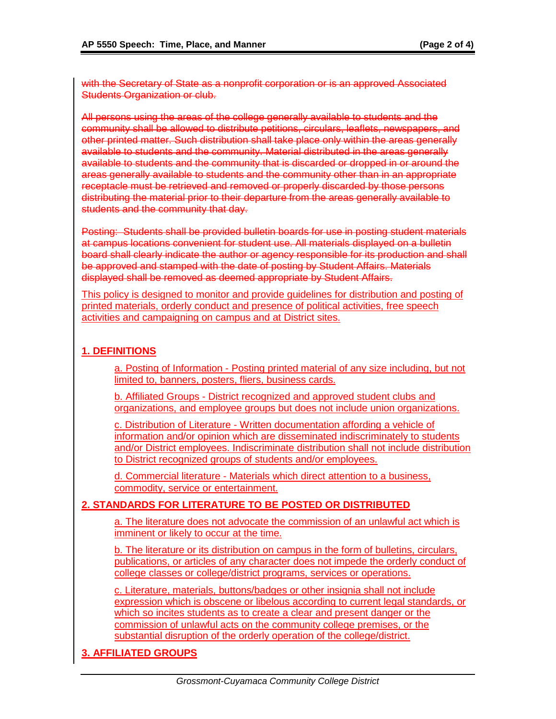with the Secretary of State as a nonprofit corporation or is an approved Associated Students Organization or club.

All persons using the areas of the college generally available to students and the community shall be allowed to distribute petitions, circulars, leaflets, newspapers, and other printed matter. Such distribution shall take place only within the areas generally available to students and the community. Material distributed in the areas generally available to students and the community that is discarded or dropped in or around the areas generally available to students and the community other than in an appropriate receptacle must be retrieved and removed or properly discarded by those persons distributing the material prior to their departure from the areas generally available to students and the community that day.

Posting: Students shall be provided bulletin boards for use in posting student materials at campus locations convenient for student use. All materials displayed on a bulletin board shall clearly indicate the author or agency responsible for its production and shall be approved and stamped with the date of posting by Student Affairs. Materials displayed shall be removed as deemed appropriate by Student Affairs.

This policy is designed to monitor and provide guidelines for distribution and posting of printed materials, orderly conduct and presence of political activities, free speech activities and campaigning on campus and at District sites.

## **1. DEFINITIONS**

a. Posting of Information - Posting printed material of any size including, but not limited to, banners, posters, fliers, business cards.

b. Affiliated Groups - District recognized and approved student clubs and organizations, and employee groups but does not include union organizations.

c. Distribution of Literature - Written documentation affording a vehicle of information and/or opinion which are disseminated indiscriminately to students and/or District employees. Indiscriminate distribution shall not include distribution to District recognized groups of students and/or employees.

d. Commercial literature - Materials which direct attention to a business, commodity, service or entertainment.

## **2. STANDARDS FOR LITERATURE TO BE POSTED OR DISTRIBUTED**

a. The literature does not advocate the commission of an unlawful act which is imminent or likely to occur at the time.

b. The literature or its distribution on campus in the form of bulletins, circulars, publications, or articles of any character does not impede the orderly conduct of college classes or college/district programs, services or operations.

c. Literature, materials, buttons/badges or other insignia shall not include expression which is obscene or libelous according to current legal standards, or which so incites students as to create a clear and present danger or the commission of unlawful acts on the community college premises, or the substantial disruption of the orderly operation of the college/district.

## **3. AFFILIATED GROUPS**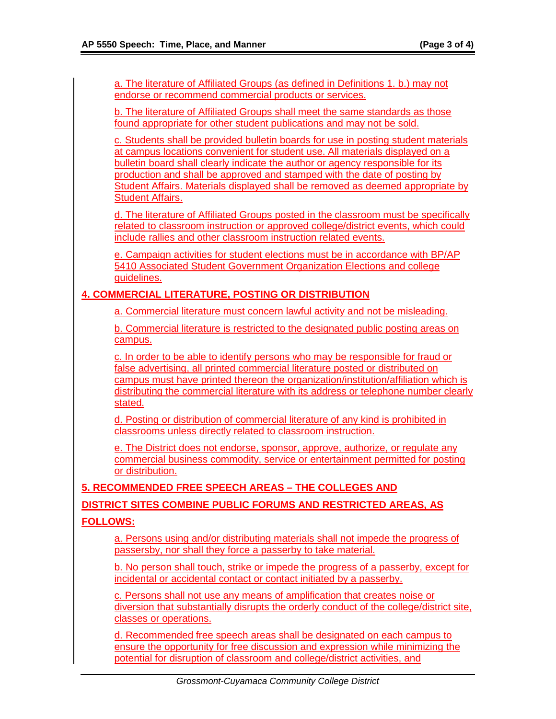a. The literature of Affiliated Groups (as defined in Definitions 1. b.) may not endorse or recommend commercial products or services. b. The literature of Affiliated Groups shall meet the same standards as those found appropriate for other student publications and may not be sold. c. Students shall be provided bulletin boards for use in posting student materials at campus locations convenient for student use. All materials displayed on a bulletin board shall clearly indicate the author or agency responsible for its production and shall be approved and stamped with the date of posting by Student Affairs. Materials displayed shall be removed as deemed appropriate by Student Affairs. d. The literature of Affiliated Groups posted in the classroom must be specifically related to classroom instruction or approved college/district events, which could include rallies and other classroom instruction related events. e. Campaign activities for student elections must be in accordance with BP/AP 5410 Associated Student Government Organization Elections and college guidelines. **4. COMMERCIAL LITERATURE, POSTING OR DISTRIBUTION** a. Commercial literature must concern lawful activity and not be misleading. b. Commercial literature is restricted to the designated public posting areas on campus. c. In order to be able to identify persons who may be responsible for fraud or false advertising, all printed commercial literature posted or distributed on campus must have printed thereon the organization/institution/affiliation which is distributing the commercial literature with its address or telephone number clearly stated. d. Posting or distribution of commercial literature of any kind is prohibited in classrooms unless directly related to classroom instruction. e. The District does not endorse, sponsor, approve, authorize, or regulate any commercial business commodity, service or entertainment permitted for posting or distribution. **5. RECOMMENDED FREE SPEECH AREAS – THE COLLEGES AND DISTRICT SITES COMBINE PUBLIC FORUMS AND RESTRICTED AREAS, AS FOLLOWS:** a. Persons using and/or distributing materials shall not impede the progress of passersby, nor shall they force a passerby to take material. b. No person shall touch, strike or impede the progress of a passerby, except for incidental or accidental contact or contact initiated by a passerby. c. Persons shall not use any means of amplification that creates noise or diversion that substantially disrupts the orderly conduct of the college/district site, classes or operations. d. Recommended free speech areas shall be designated on each campus to ensure the opportunity for free discussion and expression while minimizing the potential for disruption of classroom and college/district activities, and